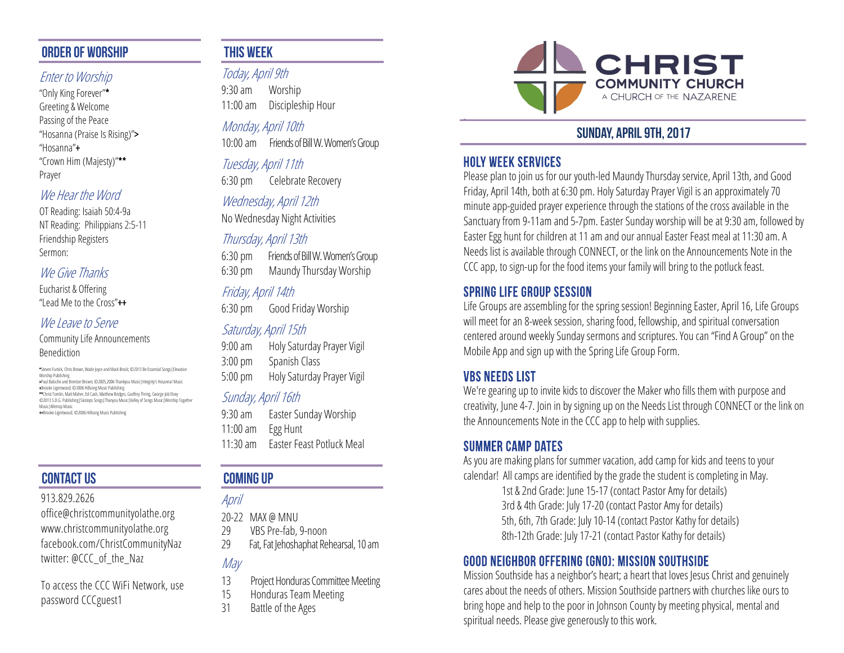### **ORDER OF WORSHIP**

### Enter to Worship

"Only King Forever"\* Greeting & Welcome Passing of the Peace "Hosanna (Praise Is Rising)"> "Hosanna"+ "Crown Him (Majesty)"\*\* Prayer

### We Hear the Word

OT Reading: Isaiah 50:4-9a NT Reading: Philippians 2:5-11 Friendship Registers Sermon:

#### We Give Thanks

Eucharist & Offering "Lead Me to the Cross"++

#### We Leave to Serve

Community Life Announcements Benediction

 \*Steven Furtick, Chris Brown, Wade Joyce and Mack Brock; ©2013 Be Essential Songs|Elevation Worship Publishing

>Paul Baloche and Brenton Brown; ©2005,2006 Thankyou Music|Integrity's Hosanna! Music

+Brooke Ligertwood; ©2006 Hillsong Music Publishing<br>\*\*Christ Tomlin, Matt Maher, Ed Cash, Matthew Bridges, Godfrey Thring, George Job Elvey

©2013 S.D.G. Publishing|Sixsteps Songs|Thanyou Music|Valley of Songs Music|Worship Together Music|Alletrop Music

++Brooke Ligertwood; ©2006 Hillsong Music Publishing

# **CONTACT US**

#### 913.829.2626

office@christcommunityolathe.org www.christcommunityolathe.org facebook.com/ChristCommunityNaz twitter: @CCC\_of\_the\_Naz

To access the CCC WiFi Network, use password CCCguest1

## **THIS WEEK**

Today, April 9th 9:30 am Worship 11:00 am Discipleship Hour

Monday, April 10th 10:00 am Friends of Bill W. Women's Group

Tuesday, April 11th 6:30 pm Celebrate Recovery

### Wednesday, April 12th

No Wednesday Night Activities

## Thursday, April 13th

6:30 pm Friends of Bill W. Women's Group 6:30 pm Maundy Thursday Worship

## Friday, April 14th

6:30 pm Good Friday Worship

### Saturday, April 15th

9:00 am Holy Saturday Prayer Vigil 3:00 pm Spanish Class 5:00 pm Holy Saturday Prayer Vigil

### Sunday, April 16th

9:30 am Easter Sunday Worship 11:00 am Egg Hunt 11:30 am Easter Feast Potluck Meal

# **COMING UP**

### April

20-22 MAX @ MNU

- 29 VBS Pre-fab, 9-noon
- 29 Fat, Fat Jehoshaphat Rehearsal, 10 am

## May

- 13 Project Honduras Committee Meeting
- 15 Honduras Team Meeting
- 31 Battle of the Ages



# **SUNDAY, APRIL 9TH, 2017**

### **HOLY WEEK SERVICES**

Please plan to join us for our youth-led Maundy Thursday service, April 13th, and Good Friday, April 14th, both at 6:30 pm. Holy Saturday Prayer Vigil is an approximately 70 minute app-guided prayer experience through the stations of the cross available in the Sanctuary from 9-11am and 5-7pm. Easter Sunday worship will be at 9:30 am, followed by Easter Egg hunt for children at 11 am and our annual Easter Feast meal at 11:30 am. A Needs list is available through CONNECT, or the link on the Announcements Note in the CCC app, to sign-up for the food items your family will bring to the potluck feast.

### **SPRING LIFE GROUP SESSION**

Life Groups are assembling for the spring session! Beginning Easter, April 16, Life Groups will meet for an 8-week session, sharing food, fellowship, and spiritual conversation centered around weekly Sunday sermons and scriptures. You can "Find A Group" on the Mobile App and sign up with the Spring Life Group Form.

### *VBS NEEDS LIST*

We're gearing up to invite kids to discover the Maker who fills them with purpose and creativity, June 4-7. Join in by signing up on the Needs List through CONNECT or the link on the Announcements Note in the CCC app to help with supplies.

### **SUMMER CAMP DATES**

As you are making plans for summer vacation, add camp for kids and teens to your calendar! All camps are identified by the grade the student is completing in May.

1st & 2nd Grade: June 15-17 (contact Pastor Amy for details) 3rd & 4th Grade: July 17-20 (contact Pastor Amy for details) 5th, 6th, 7th Grade: July 10-14 (contact Pastor Kathy for details) 8th-12th Grade: July 17-21 (contact Pastor Kathy for details)

## **GOOD NEIGHBOR OFFERING (GNO): MISSION SOUTHSIDE**

Mission Southside has a neighbor's heart; a heart that loves Jesus Christ and genuinely cares about the needs of others. Mission Southside partners with churches like ours to bring hope and help to the poor in Johnson County by meeting physical, mental and spiritual needs. Please give generously to this work.